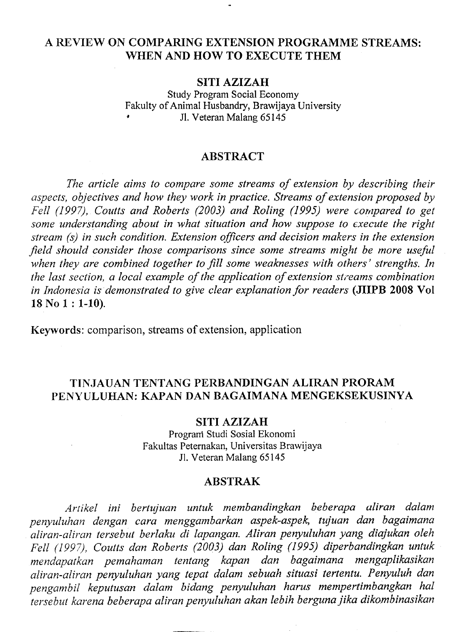# A REVIEW ON COMPARING EXTENSION PROGRAMME STREAMS: WHEN AND HOW TO EXECUTE THEM

### SITI AZIZAH

Study Program Social Economy Fakulty of Animal Husbandry, Brawijaya University Jl. Veteran Malang 65145

### ABSTRACT

The article aims to compare some streams of extension by describing their aspects, objectives and how they work in practice. Streams of extension proposed by Fell (1997), Coutts and Roberts (2003) and Roling (1995) were compared to get some understanding about in what situation and how suppose to execute the right stream (s) in such condition. Extension officers and decision makers in the extension field should consider those comparisons since some streams might be more useful when they are combined together to fill some weaknesses with others' strengths. In the last section, a local example of the application of extension streams combination in Indonesia is demonstrated to give clear explanation for readers (JIIPB 2008 Vol 18 No 1: 1-10).

Keywords: comparison, streams of extension, application

# TINJAUAN TBNTANG PBRBANDINGAN ALIRAN PRORAM PENYULUHAN: KAPAN DAN BAGAIMANA MENGEKSEKUSINYA

#### SITI AZIZAH

Program Studi Sosial Ekonomi Fakultas Peternakan, Universitas Brawijaya Jl. Veteran Malang 65145

#### ABSTRAK

Artikel ini bertujuan untuk membandingkan beberapa oliran dalam penyuluhan dengan cora menggqmbarkan aspek-aspek, tujuan don bagaimana aliran-aliran tersebut berlaku di lapangan. Aliran penyuluhan yang diajukan oleh Fell (1997), Coutts dan Roberts (2003) dan Roling (1995) diperbandingkan untuk mendapatkan pemahaman tentang kapan dan bagaimana mengaplikasikan qliran-aliran penyuluhon yang tepat dalam sebuah situasi tertentu. Penyuluh dan pengambil keputusan dalam bidang penyuluhan harus mempertimbangkan hal tersebut karena beberapa aliran penyuluhan akan lebih berguna iika dikambinasikan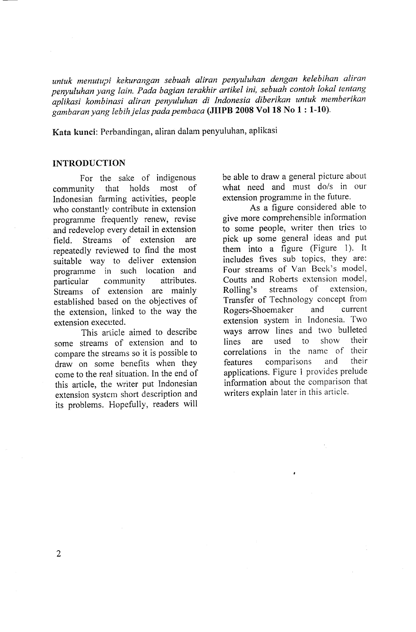untuk menutupi kekurangan sebuah aliran penyuluhan dengan kelebihan aliran penyuluhan yang lain. Pada bagian terakhir artikel ini, sebuah contoh lokal tentang aplikasi kombinasi aliran penyuluhan di Indonesia diberikan untuk memberikan [ambaran yang lebih jelas pada pembaca (JIIPB 2008 Vol 18 No I : 1-10).

Kata kunci: Perbandingan, aliran dalam penyuluhan, aplikasi

# INTRODUCTION

For the sake of indigenous community that holds most of Indonesian farming activities, people who constantly contribute in extension programme frequently renew, revise and redevelop every detail in extension<br>field Streams of extension are field. Streams of extension repeatedly reviewed to find the most suitable way to deliver extension programme in such location and<br>narticular community attributes. particular community Streams of extension are mainlY established based on the objectives of the extension, linked to the way the extension executed.

This article aimed to describe some streams of extension and to compare the streams so it is possible to draw on some benefits when they come to the real situation. In the end of this article, the writer put Indonesian extension system short description and its problems. Hopefully, readers will be able to draw a general picture about what need and must do/s in our extension programme in the future.

As a figure considered able to give more comprehensible information to some people, writer then tries to pick up some general ideas and put them into a figure (Figure 1). It includes fives sub topics, they are: Four streams of Van Beek's model, Coutts and Roberts extension model, Rolling's streams of extension, Transfer of Technology concept from Rogers-Shoemaker and current extension system in Indonesia. Two ways arrow lines and two bulleted<br>lines are used to show their lines are used to show their correlations in the name of their features comparisons and their applications. Figure 1 provides prelude information about the comparison that writers explain later in this article.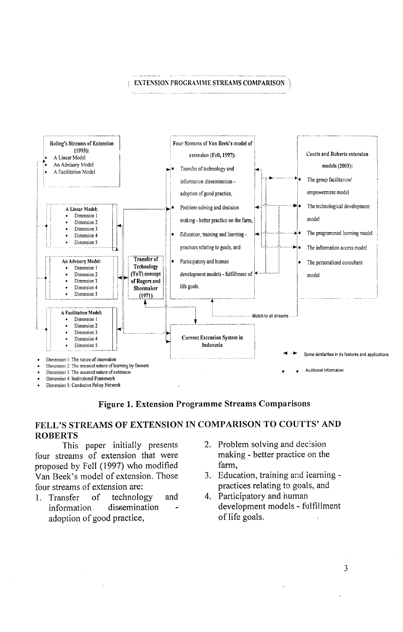#### EXTENSION PROGRAMME STREAMS COMPARISON



Figure 1. Extension Programme Streams Comparisons

# FELL'S STREAMS OF EXTENSION IN COMPARISON TO COUTTS' AND ROBERTS

This paper initially presents four streams of extension that were proposed by Fell (1997) who modified Van Beek's model of extension. Those four streams of extension are:

- 1. Transfer of technology and information dissemination adoption of good practice,
- 2. Problem solving and decision making - better practice on the farm,
- 3. Education, training and iearning practices relating to goals, and
- 4. Participatory and numan development models - fulfillment of life goals.

3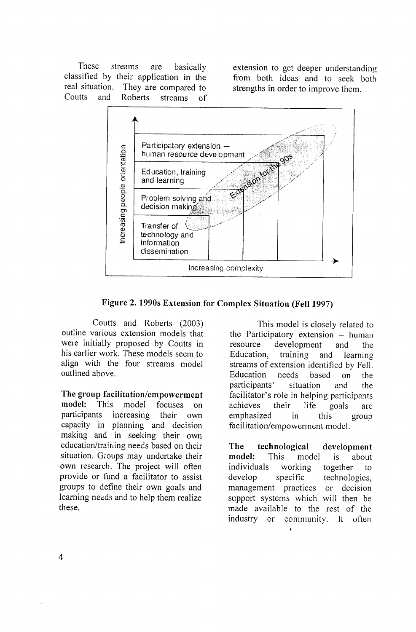These streams are basically classified by their application in the<br>real situation. They are compared to real situation. They are compared to<br>Coutts and Roberts streams of streams of

extension to get deeper understanding from both ideas and to seek both strengths in order to improve them.



Figure 2. 1990s Extension for Complex Situation (Fell 1997)

Coutts and Roberts (2003) outline various extension models that were initially proposed by Coutts in his earlier work. These models seem to align with the four streams model outlined above.

The group facilitation/empowerment model: This model focuses on participants increasing their own capacity in planning and decision making and in seeking their own education/training needs based on their situation. Groups may undertake their own researcb. The project will often provide or fund a facilitator to assist groups to define their own goals and learning necds and to help them realize these.

This model is closely related to the Participatory extension  $-$  human resource development and the Education, training and learning streams of extension identified by Fell. Education needs based on the participants' situation and the facilitator's role in helping participants achieves their life goals are emphasized in this group facilitation/empowerment model.

The technological development model: This model is about individuals working together to develop specific technologies, management practices or decision support systems which will then be made available to the rest of the industry or community. It often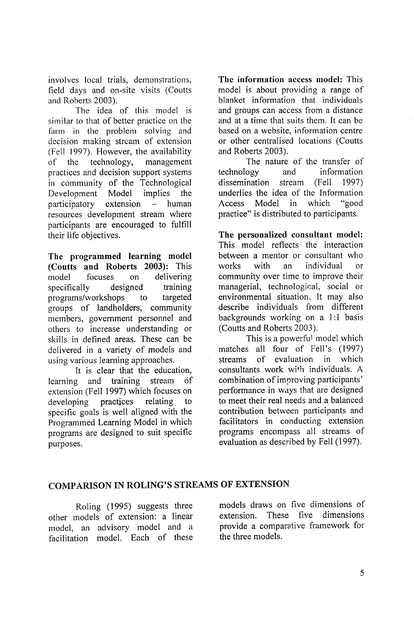involves local trials, demonstrations, field days and on-site visits (Coutts and Roberts 2003).

The idea of this model is similar to that of better practice on the farm in the problem solving and decision making strcam of extension (Fell 1997). However, the availability of the technology, management practices and decision support systems in community of the Technological Development Model implies the  $participatory$  extension  $-$  human resources development stream where participants are encouraged to fulfill their life objectives.

The programmed learning model (Coutts and Roberts 2003): This model focuses on delivering specifically designed training programs/workshops to targeted groups of landholders, community members, government personnel and others to increase understanding or skills in defined areas. These can be delivered in a variety of models and using various learning approaches.

It is clear that the education, learning and training stream df extension (Fell 1997) which focuses on developing practices relating to specific goals is well aligned with the Programmed Learning Model in which programs are designed to suit specific purposes.

The information access model: This model is about providing a range of blanket information that individuals and groups can access from a distance and at a time that suits them. It can be based on a website, information centre or other centralised locations (Coutts and Roberts 2003).

The nature of the transfer of technology and information dissemination stream (Fell 1997) underlies the idea of the Information<br>Access Model in which "good Access Model in which practice" is distributed to participants.

The personalized consultant model: This model reflects the interaction between a mentor or consultant who works with an individual or community over time to improve their managerial, technological, social or environmental situation. It may also describe individuals from different backgrounds working on a 1:1 basis (Coutts and Roberts 2003).

This is a powerful model which matches all four of Fell's (1997) streams of evaluation in which consultants work with individuals. A combination of improving participants' performance in ways that are designed to meet their real needs and a balanced contribution between participants and facilitators in conducting extension programs encompass all streams of evaluation as described by Fell (1997).

# COMPARISON IN ROLING'S STREAMS OF EXTENSION

Roling (1995) suggests three other models of extension: a linear model, an advisory model and a facilitation model. Each of these

models draws on five dimensions of extension. These five dimensions provide a comparative framework for the three models.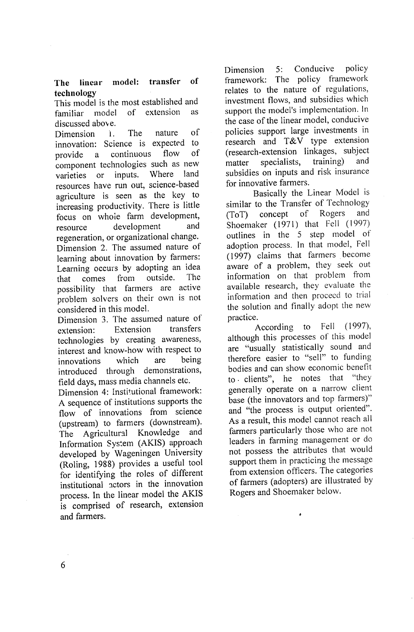# The linear model: transfer of technology

This model is the most established and<br>familiar model of extension as familiar model of extension discussed above.

resource Dimension i. The nature of innovation: Science is expected to<br>provide a continuous flow of provide a continuous component technologies such as new<br>varieties or inputs. Where land varieties or inputs. Where land resources have run out, science-based agriculture is seen as the key to increasing productivity. There is little focus on whoie farm development,<br>resource development and development regeneration, or organizational change. Dimension 2. The assumed nature of learning about innovation by farmers: Learning occurs by adopting an idea<br>that comes from outside. The that comes from outside. possibility that farmers are active problem solvers on their own is not considered in this model.

Dimension 3. The assumed nature of<br>extension transfers extension: Extension technologies by creating awareness, interest and know-how with respect to<br>innovations which are being innovations introduced through demonstrations, field days, mass media channels etc.

Dimension 4: Institutional framework: A sequence of institutions supports the flow of innovations from science (upstream) to farmers (downstream).<br>The Agricultural Knowledge and The Agricultural Knowledge Information Systern (AKIS) approach developed by Wageningen University (Roling, 1988) provides a useful tool for identifying the roles of different institutional ectors in the innovation process. In the linear model the AKIS is comprised of research, extension and farmers.

Dimension 5: Conducive policy framework: The policy framework relates to the nature of regulations, investment flows, and subsidies which support the model's implementation. In the case of the linear model, conducive policies support large investments in research and T&V type extension (research-extension linkages, subject matter specialists, training) and subsidies on inputs and risk insurance for innovative farmers.

Basically the Linear Model is similar to the Transfer of Technology<br>(ToT) concept of Rogers and  $(ToT)$  concept of Shoemaker (1971) that Fell (1997) outlines in the 5 step model of adoption process. In that model, Fell (1997) claims that farmers become aware of a problem, they seek out information on that problem from available research, they evaluate the information and then proceed to trial the solution and finally adopt the new practice.

According to Fell (1997), although this processes of this modcl are "usually statistically sound and therefore easier to "sell" to funding bodies and can show economic benefit<br>to clients" he notes that "they to. clients", he notes that generally operate on a narrow client base (the innovators and top farmers)" and "the process is output oriented"' As a result, this model cannot reach all farmers particularly those who are not leaders in farming management or do not possess the attributes that would support them in practicing the message from extension officers. The categories of farmers (adopters) are illustrated by Rogers and Shoemaker below'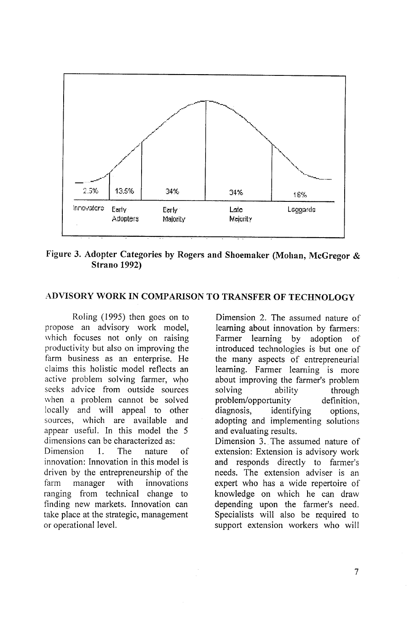

Figure 3. Adopter Categories by Rogers and Shoemaker (Mohan, McGregor & Strano 1992)

# ADVISORY WORK IN COMPARISON TO TRANSFER OF TECHNOLOGY

Roling (1995) then goes on to propose an advisory work model, which focuses not only on raising productivity but also on improving the farm business as an enterprise. He claims this holistic model reflects an active problem solving farmer, who seeks advice from outside sources when a problem cannot be solved locally and will appeal to other sources, which are available and appear useful. In this model the 5 dimensions can be characterized as: Dimension 1. The nature of innovation: Innovation in this model is driven by the entrepreneurship of the farm manager with innovations ranging from technical change to finding new markets. Innovation can take place at the strategic, management or operational level.

Dimension 2. The assumed nature of leaming about innovation by farmers: Farmer learning by adoption of introduced technologies is but one of the many aspects of entrepreneurial learning. Farmer learning is more about improving the farmer's problem solving ability problem/opportunity through definition, diagnosis, identifying options, adopting and implementing solutions and evaluating results. Dimension 3. The assumed nature of extension: Extension is advisory work and responds directly to farmer's needs. The extension adviser is an expert who has a wide repertoire of knowledge on which he can draw depending upon the farmer's need. Specialists will also be required to support extension workers who will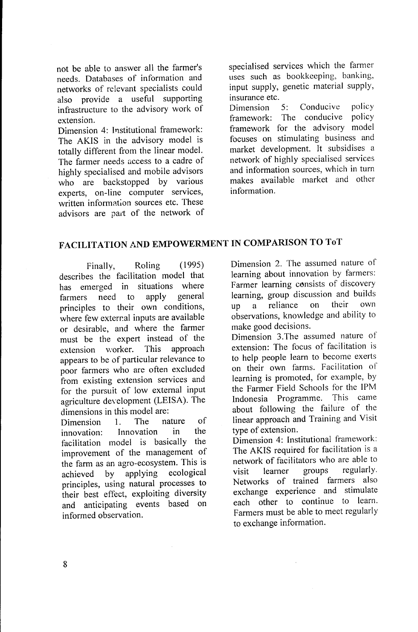not be able to answer all the farmer's needs. Databases of information and networks of relevant specialists could also provide a useful supporting infrastructure to the advisory work of extension.

Dimension 4: Institutional framework: The AKIS in the advisory model is totally different from the linear model. The farmer needs access to a cadre of highly specialised and mobile advisors who are backstopped by various experts, on-line computer services, written information sources etc. These advisors are part of the network of

specialised services which the farmer uses such as bookkeeping, banking, input supply, genetic material supply, insurance etc.

Dimension 5: Conducive policy framework: The conducive policy framework for the advisory model focuses on stimulating business and market development. It subsidises a network of highly specialised services and information sources, which in turn makes available market and other information.

# FACILITATION AND EMPOWERMENT IN COMPARISON TO TOT

Finally, Roling (1995) describes the facilitation model that has emerged in situations where<br>farmers need to apply general farmers need to principles to their own conditions, where few external inputs are available or desirable, and where the farmer must be the expert instead of the<br>extension worker. This approach extension worker. appears to be of particular relevance to poor farmers who are often excluded from existing extension services and for the pursuit of low external input agriculture development (LEISA). The dimensions in this model are:<br>Dimension 1. The nature

Dimension 1. The nature of<br>innovation: Innovation in the innovation: Innovation facilitation model is basically the improvement of the management of the farm as an agro-ecosystem. This is<br>achieved by applying ecological achieved by applying principles, using natural processes to their best effect, exploiting diversity and anticipating events based on informed observation.

Dimension 2. The assumed nature of learning about innovation by farmers: Farmer learning consists of discovery learning, group discussion and builds<br>up a reliance on their own up a reliance observations, knowledge and ability to make good decisions.

Dimension 3.The assumed nature of extension: The focus of facilitation is to help people learn to become exerts on their own farms. Facilitation of learning is promoted, for example, by the Farmer Field Schools for the IPM Indonesia Programme. This came about following the failure of the linear approach and Training and Visit type of extension.

Dimension 4: Institutional framework: The AKIS required for facilitation is a network of facilitators who are able to<br>visit learner groups regularly. visit learner groups regularly. Networks of trained farmers also exchange experience and stimulate each other to continue to learn. Farmers must be able to meet regularly to exchange information.

8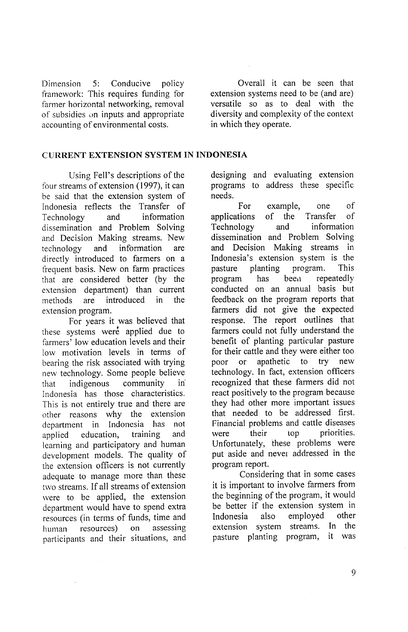Dimension 5: Conducive policy framework: This requires funding for farmer horizontal networking, removal of subsidies on inputs and appropriate accounting of environmental costs.

Overall it can be seen that extension systems need to be (and are) versatile so as to deal with the diversity and complexity of the context in which they operate.

# CURRBNT EXTENSION SYSTEM IN INDONESIA

Using Fell's descriptions of the four streams of extension (1997), it can be said that the extension system of Indonesia reflects the Transfer of Technology and information dissemination and Problem Solving and Decision Making streams. New technology and information are directly introduced to farmers on a frequent basis. New on farm practices that are considered better (by the extension department) than current methods are introduced in the extension program.

For years it was believed that these systems were applied due to farmers' low education levels and their low motivation levels in terms of bearing the risk associated with trying new technology. Some people believe that indigenous community in Indonesia has those characteristics. This is not entirely true and there are other reasons why the extension department in Indonesia has not applied education, training and learning and participatory and human development models. The quality of the extension officers is not currently adequate to manage more than these two streams. If all streams of extension were to be applied, the extension department would have to spend extra resources (in terms of funds, time and<br>human resources) on assessing human resources) on participants and their situations, and designing and evaluating extension programs to address these specific needs.

For example, one of applications of the Transfer of Technology and information dissemination and Problem Solving and Decision Making streams in Indonesia's extension system is the pasture planting program. This program has been repeatedly conducted on an annual basis but feedback on the program reports that farmers did not give the expected response. The report outlines that farmers could not fully understand the benefit of planting particular pasture for their cattle and they were either too poor or apathetic to try new technology. In fact, extension officers recognized that these farmers did not react positively to the program because they had other more important issues that needed to be addressed first. Financial problems and cattle diseases were their top priorities. Unfortunately, these problems were put aside and never addressed in the program report.

Considering that in some cases it is important to involve farmers from the beginning of the program, it would be better if the extension system in<br>Indonesia also employed other Indonesia also employed extension system streams. In the pasture planting program, it was

9